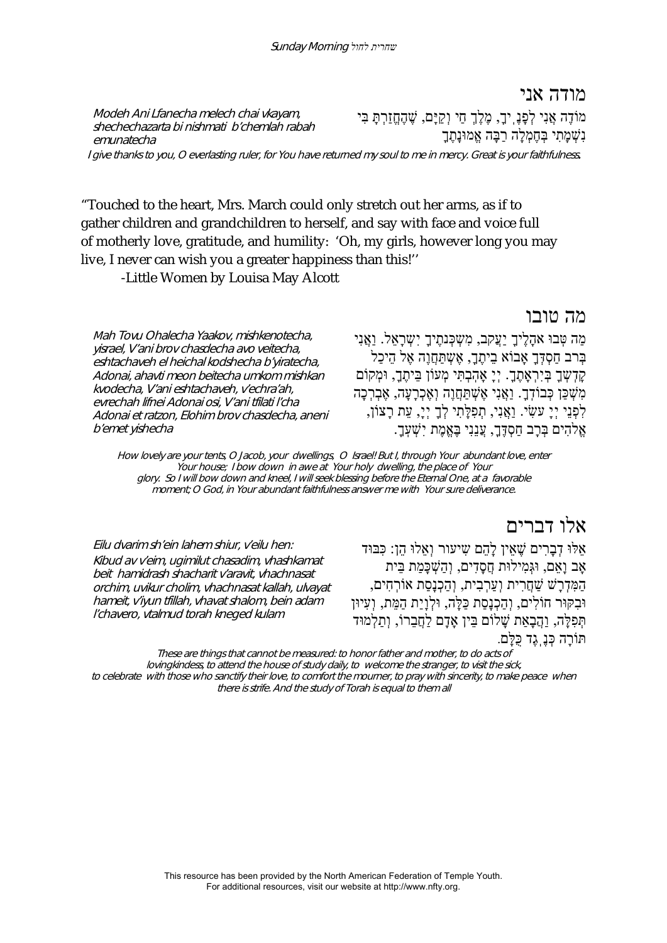Modeh Ani Lfanecha melech chai vkayam, shechechazarta bi nishmati b'chemlah rabah emunatecha

מודה אני מוֹדֶה אֲנִי לְפָנֶֽיך,ָ מֶלֶךְ חַי וְקַיָּם, שֶׁ הֶחֱזַרְתָּ בִּי נִשְׁ מָתִי בְּחֶמְלָה רַבָּה אֱמוּנָתֶךָ

I give thanks to you, O everlasting ruler, for You have returned my soul to me in mercy. Great is your faithfulness.

"Touched to the heart, Mrs. March could only stretch out her arms, as if to gather children and grandchildren to herself, and say with face and voice full of motherly love, gratitude, and humility: 'Oh, my girls, however long you may live, I never can wish you a greater happiness than this!''

-Little Women by Louisa May Alcott

מה טובו

Mah Tovu Ohalecha Yaakov, mishkenotecha, yisrael, V'ani brov chasdecha avo veitecha, eshtachaveh el heichal kodshecha b'yiratecha, Adonai, ahavti meon beitecha umkom mishkan kvodecha, V'ani eshtachaveh, v'echra'ah, evrechah lifnei Adonai osi, V'ani tfilati l'cha Adonai et ratzon, Elohim brov chasdecha, aneni b'emet yishecha

מַה טִּבוּ אהָלֵיךָ יַעֲקִב, מִשְׁכָּנתֵיךָ יִשְׁרָאֵל. וַאֲנִי בְּרב חַסְדְּךָ אָבוֹא בֵיתֶך,ָ אֶשְ תַּחֲוֶה אֶל הֵיכַל קַדְשָׁךָ בְּיִרְאָתֶךָ. יְיָ אָהָבְתִּי מְעוֹן בִּיתֱךָ, וּמְקוֹם מִשְׁ כַּן כְּבוֹדֽ .ךָ וַאֲנִי אֶשְׁ תַּחֲוֶה וְאֶכְרָעָה, אֶבְרְכָה לִפְנִי יְיָ עַשִׂי. וְאֲנִי, תִפִּלְתִי לְךָ יְיָ, עַת רָצוֹן, אֱלֹהִים בְּרָב חַסְדֶּךָ, עֲנָנִי בֶּאֱמֶת יִשָׁעָךָ.

How lovely are your tents, O Jacob, your dwellings, O Israel! But I, through Your abundant love, enter Your house; I bow down in awe at Your holy dwelling, the place of Your glory. So I will bow down and kneel, I will seek blessing before the Eternal One, at a favorable moment; O God, in Your abundant faithfulness answer me with Your sure deliverance.

Eilu dvarim sh'ein lahem shiur, v'eilu hen: Kibud av v'eim, ugimilut chasadim, vhashkamat beit hamidrash shacharit v'aravit, vhachnasat orchim, uvikur cholim, vhachnasat kallah, ulvayat hameit, v'iyun tfillah, vhavat shalom, bein adam l'chavero, vtalmud torah kneged kulam

אלו דברים אֵלּוּ דְבָרִים שֶׁ אֵין לָהֵם שִ יעור וְאֵלוּ הֵן: כִּבּוּד אָב וָאֵם, וּגְּמִילוּת חֲסָדִים, וְהַשְׁ כָּמַת בֵּית הַמִּדְרָשׁ שַׁ חֲרִית וְעַרְבִית, וְהַכְנָסַת אוֹרְחִים, וּבִקּוּר חוֹלִים, וְהַכְנָסַת כַּלָּה, וּלְוָיַת הַמֵּת, וְעִיוּן תְּפִלָּה, וַהֲבָאַת שָׁ לוֹם בֵּין אָדָם לַחֲבֵרוֹ, וְתַלְמוּד תּוֹרָה כְּנֶֽגֶד כֻּלָּם.

These are things that cannot be measured: to honor father and mother, to do acts of lovingkindess, to attend the house of study daily, to welcome the stranger, to visit the sick, to celebrate with those who sanctify their love, to comfort the mourner, to pray with sincerity, to make peace when there is strife. And the study of Torah is equal to them all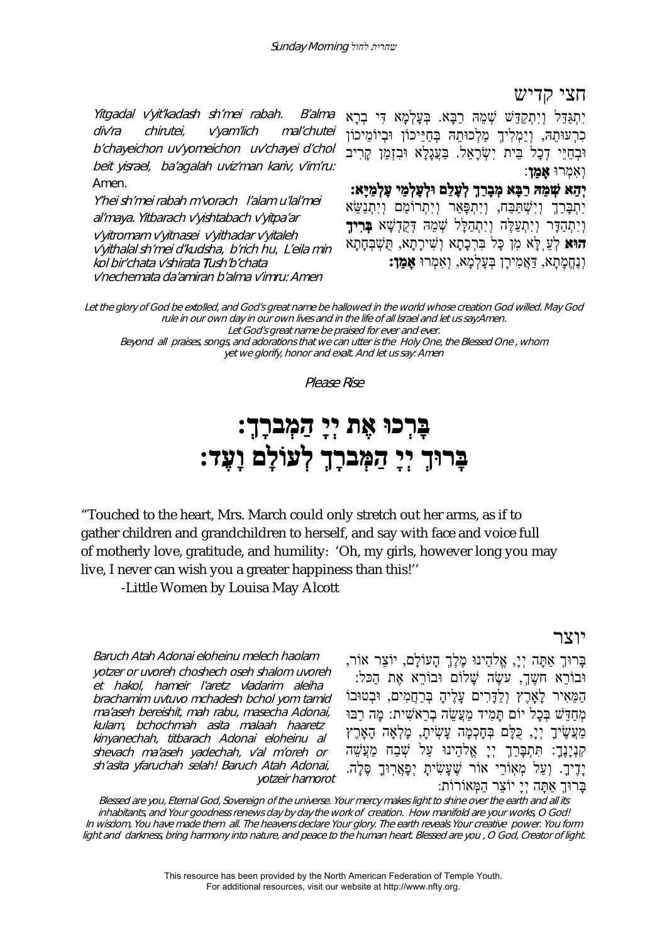חצי קדיש

Yitgadal v'yit'kadash sh'mei rabah. B'alma div'ra chirutei, v'yam'lich mal'chutei b'chayeichon uv'yomeichon uv'chayei d'chol beit yisrael, ba'agalah uviz'man kariv, v'im'ru: Amen.

Y'hei sh'mei rabah m'vorach l'alam u'lal'mei al'maya. Yitbarach v'yishtabach v'yitpa'ar <sup>v</sup>'yitromam v'yitnasei v'yithadar v'yitaleh <sup>v</sup>'yithalal sh'mei d'kudsha, b'rich hu, L'eila min kol bir'chata v'shirata Tush'b'chata v'nechemata da'amiran b'alma v'imru: Amen

יִתְגַּדַּל וְיִתְקַדַּשׁ שְׁ מֵהּ רַבָּא. בְּעָלְמָא דִּי בְרָא כִרְעוּתֵהּ, וְיַמְלִיךְ מַלְכוּתֵהּ בְּחַיֵּיכוֹן וּבְיוֹמֵיכוֹן וּבְחַיּי דָכָל בִּית יִשְׂרָאל. בַּעֲגָלָא וּבזָמַן קַרִיב וְאִמְרוּ **אָמֵן**:

**יְהֵא שְׁ מֵהּ רַבָּא מְבָרַךְ לְעָלַם וּלְעָלְמֵי עָלְמַיָּא:** יִתְבַּרַךְ וְיִשְׁתַּבָּח, וְיִתְפָּאַר וְיִתְרוֹמַם וְיִתְנַשֵּׂא וְיִתְהַדָּר וְיִתְעַלֶּה וְיִתְהַלָּל שְׁ מֵהּ דְּקֻדְשָׁ א **בְּרִיךְ הוּא** לְעֵֽלָּא מִן כָּל בִּרְכָתָא וְשִׁ ירָתָא, תֻּשְׁ בְּחָתָא וְנֶחֱמָתָא, דַּאֲמִירָן בְּעָלְמָא, וְאִמְרוּ **אָמֵן:**

Let the glory of God be extolled, and God's great name be hallowed in the world whose creation God willed. May God rule in our own day in our own lives and in the life of all Israel and let us say:Amen.

Let God's great name be praised for ever and ever.

Beyond all praises, songs, and adorations that we can utter is the Holy One, the Blessed One , whom yet we glorify, honor and exalt. And let us say: Amen

Please Rise

# **בָּרְכוּ אֶת יְיָ הַמְברָך:ְ בָּרוּךְ יְיָ הַמְּברָךְ לְעוֹלָם וָעֶ :ד**

"Touched to the heart, Mrs. March could only stretch out her arms, as if to gather children and grandchildren to herself, and say with face and voice full of motherly love, gratitude, and humility: 'Oh, my girls, however long you may live, I never can wish you a greater happiness than this!''

-Little Women by Louisa May Alcott

# יוצר

Baruch Atah Adonai eloheinu melech haolam yotzer or uvoreh choshech oseh shalom uvoreh et hakol, hameir l'aretz vladarim aleiha brachamim uvtuvo mchadesh bchol yom tamid ma'aseh bereishit, mah rabu, masecha Adonai, kulam, bchochmah asita malaah haaretz kinyanechah, titbarach Adonai eloheinu al shevach ma'aseh yadechah, v'al m'oreh or sh'asita yfaruchah selah! Baruch Atah Adonai, yotzeir hamorot

בָּרוּךְ אַתָּה יְי,ָ אֱלהֵינוּ מֶלֶךְ הָעוֹלָם, יוֹצֵר אוֹר, וּבוֹרֵא חשֵׁך, עשֵׂה שָׁלוֹם וּבוֹרֵא אֶת הַכּל: הַמֵּאִיר לָאָֽרֶץ וְלַדָּרִים עָלֶיהָ בְּרַחֲמִים, וּבְטוּבוֹ מְחִדִּשׁ בְּכָל יוֹם תַּמִיד מַעֲשׂה בְרֹאשִׁית: מֵה רַבּוּ מַעֲשֵׂיךָ יְיָ, כָּלָּם בְּחָכְמָה עַשְׂיתָ, מָלְאָה הָאָרֵץ ַקְּנְיָנֶךָ: תִּתְבָּרַךְ יְיָ אֱלֹהֵינוּ עַל שְׁבַח מַעֲשֵׁה יָדִיךָ. וְעַל מְאָוֹרֵי אוֹר שֶׁעָשִׂיתָ יְפָאֲרְוּךָ סֶלָה. בָּרוּךְ אַתָּה יְיָ יוֹצֵר הַמְּאוֹרוֹת:

Blessed are you, Eternal God, Sovereign of the universe. Your mercy makes light to shine over the earth and all its inhabitants, and Your goodness renews day by day the work of creation. How manifold are your works, O God! In wisdom, You have made them all. The heavens declare Your glory. The earth reveals Your creative power. You form light and darkness, bring harmony into nature, and peace to the human heart. Blessed are you , O God, Creator of light.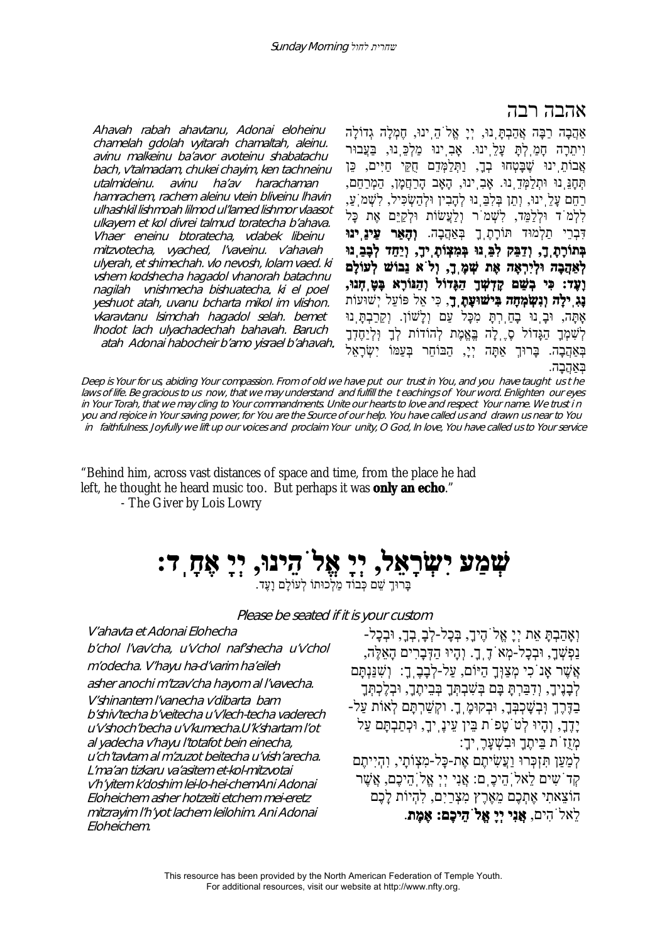# אהבה רבה

bach, v'talmadam, chukei chayim, ken tachneinu ulhashkil lishmoah lilmod ul'lamed lishmor vlaasot ulyerah, et shimechah. vlo nevosh, lolam vaed. ki atah Adonai habocheir b'amo yisrael b'ahavah. אַהֲבָה רַבָּה אֲהַבְתָּֽנוּ, יְיָ אֱלֹהֵֽינוּ, חֶמְלָה גְדוֹלָה וִיתֵרָה חָמַֽלְתָּ עָלֵֽינוּ. אָבִֽינוּ מַלְכֵּֽנוּ, בַּעֲבוּר אֲבוֹתֵ<sup>ְ</sup>ינוּ שֵׁבָּטָחוּ בְדָ, וַתְּלַמְּדֵם חֻקֵּי חַיִּים, כֵּן תְּחָנֵּֽנוּ וּתְלַמְּדֵֽנוּ. אָבִֽינוּ, הָאָב הָרַחֲמָן, הַמְרַחֵם, ּרַחֵם עַלֵּ ינוּ, וְתֵן בִּלְבֵּ נוּ לְהָבִין וּלְהַשְׂכִּיל, לְשָׁמ<sup>ְי</sup>עַ, לִלְמֹד וּלְלַמֵּד, לִשְׁ מֹר וְלַעֲשׂוֹת וּלְקַיֵּם אֶת כָּל דִּבְרֵי תַלְמוּד תּוֹרָתֶֽךָ בְּאַהֲבָה. **וְהָאֵר עֵינֵֽינוּ בְּתוֹרָתֶֽך,ָ וְדַבֵּק לִבֵּֽנוּ בְּמִצְוֹתֶֽיךָ ו,ְ יַחֵד לְבָבֵֽנוּ לְאַהֲבָה וּלְיִרְאָה אֶת שְׁ מֶֽך,ָ וְלֹא נֵבוֹשׁ לְעוֹלָם וָעֶד: כִּי בְשֵׁ ם קָדְשְׁ ךָ הַגָּדוֹל וְהַנּוֹרָא בָּטָֽחְנוּ, נָגִֽילָה וְנִשְׂ מְחָה בִּישׁוּעָתֶֽך**,**ָ** כִּי אֵל פּוֹעֵל יְשׁוּעוֹת אָֽתָּה, וּבָֽנוּ בָחַֽרְתָּ מִכָּל עַם וְלָשׁוֹן. וְקֵרַבְתָּֽנוּ לְשִׁמְּךָ הַגָּדוֹל סֶ לָה בֶּאֱמֶת לְהוֹדוֹת לְךָ וִּלְיַחֵדְךָ בְּאַהֲבָה. בָּרוּךְ אַתָּה יְיָ, הַבּוֹחֵר בְּעַמּוֹ יִשְׂרָאֵל בְּאַהֲבָה.

Deep is Your for us, abiding Your compassion. From of old we have put our trust in You, and you have taught us t he laws of life. Be gracious to us now, that we may understand and fulfill the t eachings of Your word. Enlighten our eyes in Your Torah, that we may cling to Your commandments. Unite our hearts to love and respect Your name. We trust i n you and rejoice in Your saving power, for You are the Source of our help. You have called us and drawn us near to You in faithfulness. Joyfully we lift up our voices and proclaim Your unity, O God, In love, You have called us to Your service

"Behind him, across vast distances of space and time, from the place he had left, he thought he heard music too. But perhaps it was **only an echo**."

- The Giver by Lois Lowry

Ahavah rabah ahavtanu, Adonai eloheinu chamelah gdolah vyitarah chamaltah, aleinu. avinu malkeinu ba'avor avoteinu shabatachu

utalmideinu. avinu ha'av harachaman hamrachem, rachem aleinu vtein bliveinu lhavin

ulkayem et kol divrei talmud toratecha b'ahava. Vhaer eneinu btoratecha, vdabek libeinu mitzvotecha, vyached, l'vaveinu. v'ahavah

vshem kodshecha hagadol vhanorah batachnu nagilah vnishmecha bishuatecha. ki el poel yeshuot atah, uvanu bcharta mikol im vlishon. vkaravtanu lsimchah hagadol selah. bemet lhodot lach ulyachadechah bahavah. Baruch

**ְּעְמַעַ יִעְזָרְאֵל, יְיָ אֱל<sup>ֹ</sup>הֵיבוּ, יְיָ אֶחָֽד:**<br>בּרוּךְ שֹׁם כְּבוֹד מַלְכוּתוֹ לְעוֹלִם וְעֵד.

Please be seated if it is your custom

V'ahavta et Adonai Elohecha b'chol l'vav'cha, u'v'chol naf'shecha u'v'chol <sup>m</sup>'odecha. V'hayu ha-d'varim ha'eileh asher anochi m'tzav'cha hayom al l'vavecha. V'shinantem l'vanecha v'dibarta bam b'shiv'techa b'veitecha u'v'lech-techa vaderech u'v'shoch'becha u'v'kumecha.U'k'shartam l'ot al yadecha v'hayu l'totafot bein einecha, u'ch'tavtam al m'zuzot beitecha u'vish'arecha. L'ma'an tizkaru va'asitem et-kol-mitzvotai <sup>v</sup>'h'yitem k'doshim lei-lo-hei-chemAni Adonai Eloheichem asher hotzeiti etchem mei-eretz mitzrayim l'h'yot lachem leilohim. Ani Adonai Eloheichem.

וְאָהַבְתָּ אֵת יְיָ אֱלֹהֶיך,ָ בְּכָל-לְבָֽבְך,ָ וּבְכָל- נַפְשְׁ ך,ָ וּבְכָל-מְאֹדֶֽך.ָ וְהָיוּ הַדְּבָרִים הָאֵלֶּה, אֲשֶׁ ר אָֽנֹכִי מְצַוְּךָ הַיּוֹם, עַל-לְבָבֶֽך:ָ וְשִׁ נַּנְתָּם לְבָנֶיךָ, וְדִבַּרְתָּ בָּם בְּשִׁבְתְּךָ בְּבֵיתֶךָ, וּבְלֶכְתְּךָ בַדֶּרֶךְ וּֽבְשָׁ כְבְּך,ָ וּבְקוּמֶֽך.ָ וקְשַׁ רְתָּם לְאוֹת עַל- יָדֶך,ָ וְהָיוּ לְטֹטָפֹת בֵּין עֵינֶֽיך,ָ וּכְתַבְתָּם עַל מְזֻזֹת בֵּיתֶךָ וּבִשְׁ עָרֶֽיך:ָ לְמַעַן תִּזְכְּרוּ וַעֲשִׂ יתֶם אֶת-כָּל-מִצְוֹתָי, וִהְיִיתֶם קְדֹשִ ים לֵאלֹֽהֵיכֶֽם: אֲנִי יְיְ אֱלֹֽהֵיכֶם, אֲשֶׁ ר הוֹצֵאתִי אֶתְכֶם מֵאֶרֶץ מִצְרַיִם, לִהְיוֹת לָכֶם לֵאלֹהִים, **אֲנִי יְיָ אֱלֹהֵיכֶם: אֶמֶת**.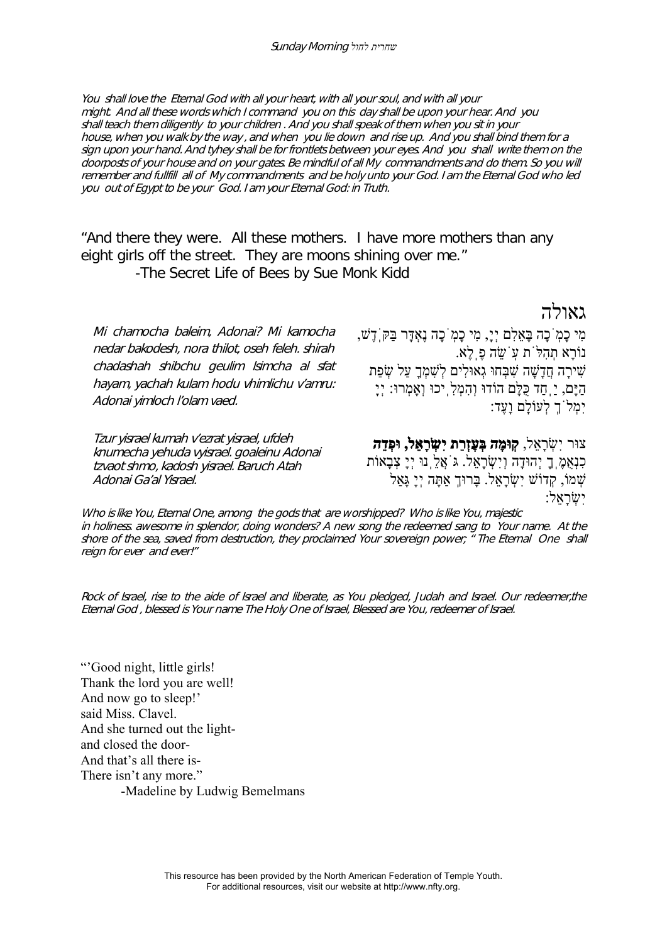You shall love the Eternal God with all your heart, with all your soul, and with all your might. And all these words which I command you on this day shall be upon your hear. And you shall teach them diligently to your children . And you shall speak of them when you sit in your house, when you walk by the way , and when you lie down and rise up. And you shall bind them for a sign upon your hand. And tyhey shall be for frontlets between your eyes. And you shall write them on the doorposts of your house and on your gates. Be mindful of all My commandments and do them. So you will remember and fullfill all of My commandments and be holy unto your God. I am the Eternal God who led you out of Egypt to be your God. I am your Eternal God: in Truth.

"And there they were. All these mothers. I have more mothers than any eight girls off the street. They are moons shining over me." -The Secret Life of Bees by Sue Monk Kidd

גאולה

Mi chamocha baleim, Adonai? Mi kamocha nedar bakodesh, nora thilot, oseh feleh. shirah chadashah shibchu geulim lsimcha al sfat hayam, yachah kulam hodu vhimlichu v'amru: Adonai yimloch l'olam vaed.

Tzur yisrael kumah v'ezrat yisrael, ufdeh knumecha yehuda vyisrael. goaleinu Adonai tzvaot shmo, kadosh yisrael. Baruch Atah Adonai Ga'al Yisrael.

מִי כָמֹֽכָה בָּאֵלִם יְי,ָ מִי כָמֹֽכָה נֶאְדָּר בַּקֹּֽדֶשׁ, נוֹרָא תְהִלֹּת עֹֽשֵׂ ה פֶֽלֶא. שִׁ ירָה חֲדָשָׁ ה שִׁ בְּחוּ גְאוּלִים לְשִׁ מְךָ עַל שְׂ פַת הַיָּם, יַֽחַד כֻּלָּם הוֹדוּ וְהִמְלִֽיכוּ וְאָמְרוּ: יְיָ יִמְלֹךְ לְעוֹלָם וָעֶד:

צוּר יִשְׂ רָאֵל, **קֽוּמָה בְּעֶזְרַת יִשְׂ רָאֵל, וּפְדֵה** כִנְאָמֶֽךָ יְהוּדָה וְיִשְׂרָאֵל. גּוֹאֲלֵֽנוּ יְיָ צְבָאוֹת  $\cdot$ יִטְרָאֵל. בָּרוּךְ אַתָּה יְיָ גָּאַל יִשְׂ רָאֵל:

Who is like You, Eternal One, among the gods that are worshipped? Who is like You, majestic in holiness. awesome in splendor, doing wonders? A new song the redeemed sang to Your name. At the shore of the sea, saved from destruction, they proclaimed Your sovereign power; <sup>"</sup> The Eternal One shall reign for ever and ever!"

Rock of Israel, rise to the aide of Israel and liberate, as You pledged, Judah and Israel. Our redeemer,the Eternal God , blessed is Your name The Holy One of Israel, Blessed are You, redeemer of Israel.

"'Good night, little girls! Thank the lord you are well! And now go to sleep!' said Miss. Clavel. And she turned out the lightand closed the door-And that's all there is-There isn't any more." -Madeline by Ludwig Bemelmans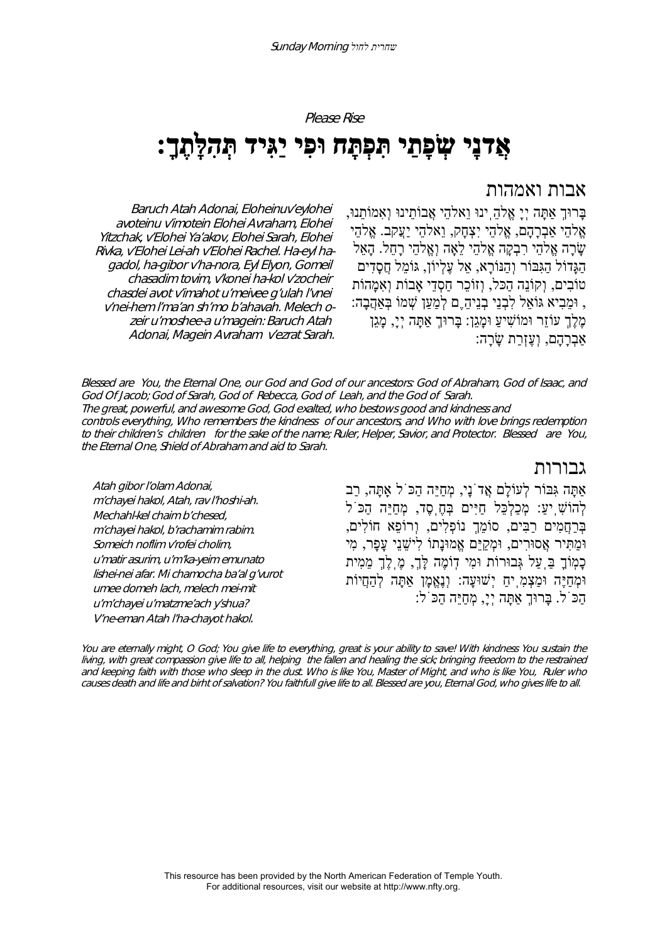Please Rise

# **אֲדנָי שְׂ פָתַי תִּפְתָּח וּפִי יַגִּיד תְּהִלָּתֶ :ךָ**

# אבות ואמהות

בָּרוּךְ אַתָּה יְיָ אֱלהֵֽינוּ וֵאלהֵי אֲבוֹתֵינוּ וְאִמוֹתֵנוּ, אֱלהֵי אַבְרָהָם, אֱלהֵי יִצְחָק, וֵאלהֵי יַעֲקב. אֱלהֵי שָׂ רָה אֱלהֵי רִבְקָה אֱלהֵי לֵאָה וְאֱלהֵי רָחֵל. הָאֵל הַגָּדוֹל הַגִּבּוֹר וְהַנּוֹרָא, אֵל עֶלְיוֹן, גּוֹמֵל חֲסָדִים טוֹבִים, וַקוֹנִה הַכִּל, וְזוֹכֵר חַסְדִי אֲבוֹת וְאִמֲהוֹת , וּמֵבִיא גּוֹאֵל לִבְנֵי בְנֵיהֵֶם לְמַעַן שְׁ מוֹ בְּאַהֲבָה: מֶלֶךְ עוֹזֵר וּמוֹשִׁיעַ וּמָגֵן: בָּרוּךְ אַתָּה יְי,ָ מָגֵן אַבְרָהָם, וְעֶזְרַת שָׂ רָה:

Baruch Atah Adonai, Eloheinuv'eylohei avoteinu v'imotein Elohei Avraham, Elohei Yitzchak, v'Elohei Ya'akov, Elohei Sarah, Elohei Rivka, v'Elohei Lei-ah v'Elohei Rachel. Ha-eyl hagadol, ha-gibor v'ha-nora, Eyl Elyon, Gomeil chasadim tovim, v'konei ha-kol v'zocheir chasdei avot v'imahot u'meivee g'ulah l'vnei v'nei-hem l'ma'an sh'mo b'ahavah. Melech ozeir u'moshee-a u'magein: Baruch Atah Adonai, Magein Avraham v'ezrat Sarah.

Blessed are You, the Eternal One, our God and God of our ancestors: God of Abraham, God of Isaac, and God Of Jacob; God of Sarah, God of Rebecca, God of Leah, and the God of Sarah. The great, powerful, and awesome God, God exalted, who bestows good and kindness and controls everything, Who remembers the kindness of our ancestors, and Who with love brings redemption to their children's children for the sake of the name; Ruler, Helper, Savior, and Protector. Blessed are You, the Eternal One, Shield of Abraham and aid to Sarah.

גבורות

Atah gibor l'olam Adonai, <sup>m</sup>'chayei hakol, Atah, rav l'hoshi-ah. Mechahl-kel chaim b'chesed, <sup>m</sup>'chayei hakol, b'rachamim rabim. Someich noflim v'rofei cholim, <sup>u</sup>'matir asurim, u'm'ka-yeim emunato lishei-nei afar. Mi chamocha ba'al g'vurot umee domeh lach, melech mei-mit <sup>u</sup>'m'chayei u'matzme'ach y'shua? V'ne-eman Atah l'ha-chayot hakol.

אַתָּה גִּבּוֹר לְעוֹלָם אֲדֹנָי, מְחַיֵּה הַכֹּל אַֽתָּה, רַב לְהוֹשִׁ ֽיע:ַ מְכַלְכֵּל חַיִּים בְּחֶֽסֶד, מְחַיֵּה הַכֹּל בְּרַחֲמִים רַבִּים, סוֹמֵךְ נוֹפְלִים, וְרוֹפֵא חוֹלִים, וּמַתִּיר אֲסוּרִים, וּמְקַיֵּם אֱמוּנָתוֹ לִישֵׁ נֵי עָפָר, מִי כָמֽוֹךָ בַּֽעַל גְּבוּרוֹת וּמִי דֽוֹמֶה לָּך,ְ מֶֽלֶךְ מֵמִית וּמְחַיֶּה וּמַצְמִֽיחַ יְשׁוּעָה: וְנֶאֱמָן אַתָּה לְהַחֲיוֹת הַכֹּל. בָּרוּךְ אַתָּה יְי,ָ מְחַיֵּה הַכֹּל:

You are eternally might, O God; You give life to everything, great is your ability to save! With kindness You sustain the living, with great compassion give life to all, helping the fallen and healing the sick; bringing freedom to the restrained and keeping faith with those who sleep in the dust. Who is like You, Master of Might, and who is like You, Ruler who causes death and life and birht of salvation? You faithfull give life to all. Blessed are you, Eternal God, who gives life to all.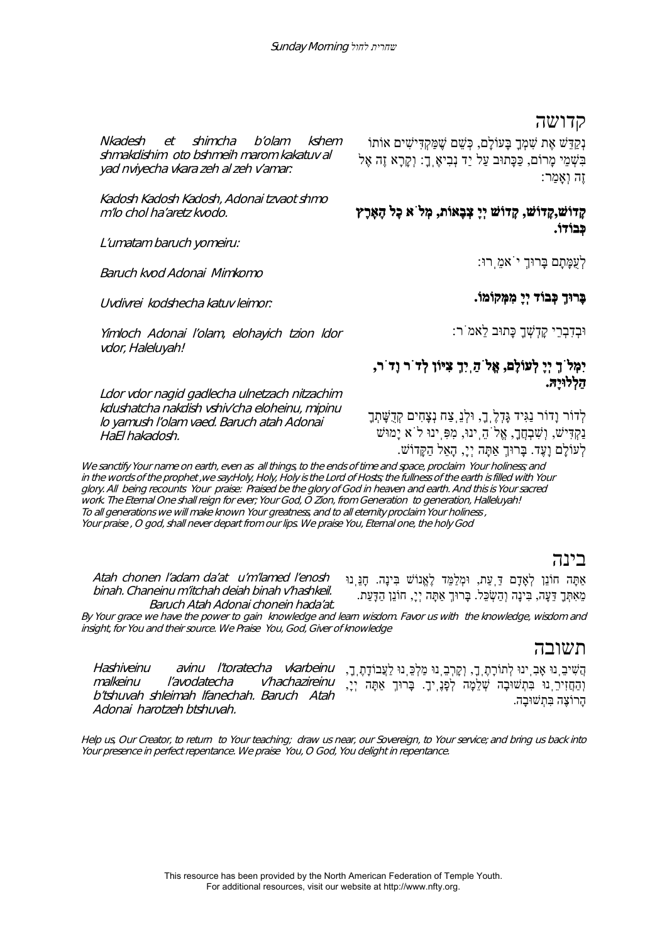#### קדושה

נְקַדֵּשׁ אֶת שִׁמְךָ בָּעוֹלָם, כְּשֵׁם שֶׁמַּקְדִּישִׁים אוֹתוֹ בִּשְׁמֵי מַרוֹם, כַּכָּתוּב עַל יַד נְבִיאֶ ךָָ: וְקָרָא זֶה אֶל זֶה וְאָמַר:

# **קָדוֹשׁ,קָדוֹשׁ, קָדוֹשׁ יְיָ צְבָאוֹת, מְלֹא כָל הָאָֽרֶץ כְּבוֹדוֹ.**

לְעֻמָּתָם בָּרוּךְ יֹאמֵֽרוּ:

#### **בָּרוּךְ כְּבוֹד יְיָ מִמְּקוֹמ .וֹ**

וּבְדִבְרֵי קָדְשְׁ ךָ כָּתוּב לֵאמֹר:

# **יִמְלֹךְ יְיָ לְעוֹלָם, אֱלֹהַֽיִךְ צִיּוֹן לְדֹר וָדֹר, הַלְלוּיָהּ.**

לְדוֹר וָדוֹר נַגִּיד גָּדְלֶֽך,ָ וּלְנֵֽצַח נְצָחִים קְדֻשָּׁ תְךָ נַקְדִּישׁ, וְשָׁבְחֲךָ, אֱלֹהֵֽינוּ, מִפְּ יִנוּ לֹא יָמוּשׁ לְעוֹלָם וָעֶ . ד בָּרוּךְ אַתָּה יְי,ָ הָאֵל הַקָּדוֹשׁ.

We sanctify Your name on earth, even as all things, to the ends of time and space, proclaim Your holiness; and in the words of the prophet ,we say:Holy, Holy, Holy is the Lord of Hosts; the fullness of the earth is filled with Your glory. All being recounts Your praise: Praised be the glory of God in heaven and earth. And this is Your sacred work. The Eternal One shall reign for ever; Your God, O Zion, from Generation to generation, Halleluyah! To all generations we will make known Your greatness, and to all eternity proclaim Your holiness , Your praise , O god, shall never depart from our lips. We praise You, Eternal one, the holy God

### בינה

אַתָּה חוֹנֵן לְאָדָם דַּֽעַת, וּמְלַמֵּד לֶאֱנוֹשׁ בִּינָה. חָנֵּֽנוּ מֵאִתְּךָ דֵּעָה, בִּינַה וְהַשְׂכֵּל. בַּרוּךָ אַתַּה יְיָ, חוֹנֵן הַדָּעַת.

Baruch Atah Adonai chonein hada'at. By Your grace we have the power to gain knowledge and learn wisdom. Favor us with the knowledge, wisdom and insight, for You and their source. We Praise You, God, Giver of knowledge

#### תשובה

הֲשִׁ יבֵֽנוּ אָבִֽינוּ לְתוֹרָתֶֽך,ָ וְקָרְבֵֽנוּ מַלְכֵּֽנוּ לַעֲבוֹדָתֶֽך,ָ וְהַחֲזִירֵֽנוּ בִּתְשׁוּבָה שְׁ לֵמָה לְפָנֶֽיך.ָ בָּרוּךְ אַתָּה יְי,ָ הָרוֹצֶה בִּתְשׁוּבָה.

Nkadesh et shimcha b'olam kshem shmakdishim oto bshmeih marom kakatuv al yad nviyecha vkara zeh al zeh v'amar:

Kadosh Kadosh Kadosh, Adonai tzvaot shmo m'lo chol ha'aretz kvodo.

L'umatam baruch yomeiru:

Baruch kvod Adonai Mimkomo

Uvdivrei kodshecha katuv leimor:

Yimloch Adonai l'olam, elohayich tzion ldor vdor, Haleluyah!

Ldor vdor nagid gadlecha ulnetzach nitzachim kdushatcha nakdish vshiv'cha eloheinu, mipinu lo yamush l'olam vaed. Baruch atah Adonai HaEl hakadosh.

Hashiveinu avinu l'toratecha vkarbeinu

malkeinu l'avodatecha v'hachazireinu b'tshuvah shleimah lfanechah. Baruch Atah Adonai harotzeh btshuvah.

Atah chonen l'adam da'at u'm'lamed l'enosh binah. Chaneinu m'itchah deiah binah v'hashkeil.

Help us, Our Creator, to return to Your teaching; draw us near, our Sovereign, to Your service; and bring us back into Your presence in perfect repentance. We praise You, O God, You delight in repentance.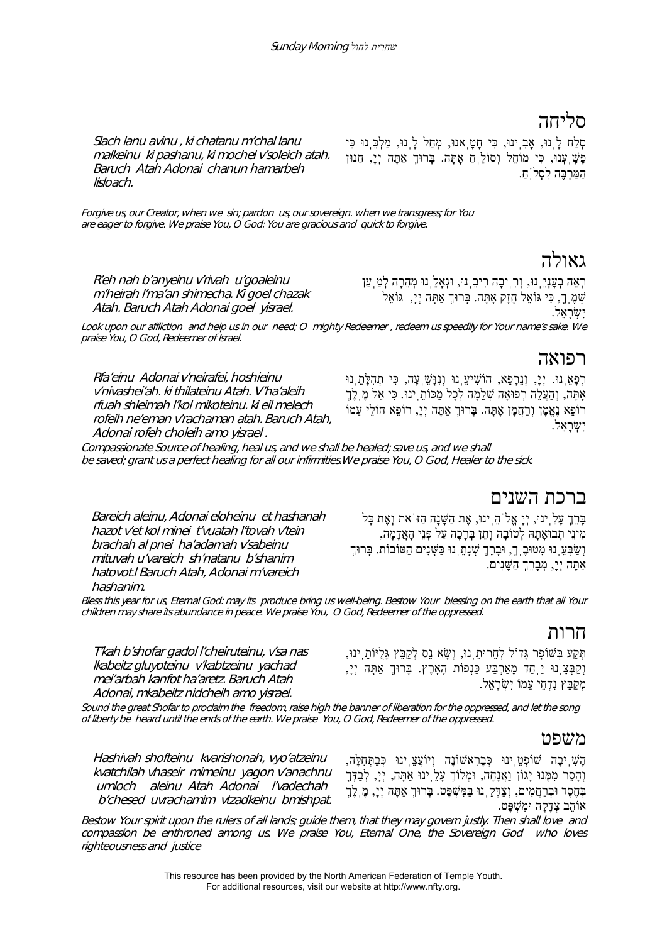# סליחה

Slach lanu avinu , ki chatanu m'chal lanu malkeinu ki pashanu, ki mochel v'soleich atah. Baruch Atah Adonai chanun hamarbeh lisloach.

סְלַח לָֽנוּ, אָבִֽינוּ, כִּי חָטָֽאנוּ, מְחַל לָֽנוּ, מַלְכֵּֽנוּ כִּי פָשָׁ ֽעְנוּ, כִּי מוֹחֵל וְסוֹלֵֽחַ אָֽתָּה. בָּרוּךְ אַתָּה יְי,ָ חַנוּן הַמַּרְבֶּה לִסְלֹֽח.ַ

Forgive us, our Creator, when we sin; pardon us, our sovereign. when we transgress; for You are eager to forgive. We praise You, O God: You are gracious and quick to forgive.

# גאולה

R'eh nah b'anyeinu v'rivah u'goaleinu <sup>m</sup>'heirah l'ma'an shimecha. Ki goel chazak Atah. Baruch Atah Adonai goel yisrael.

יִשְׂ רָאֵל. Look upon our affliction and help us in our need; O mighty Redeemer , redeem us speedily for Your name's sake. We praise You, O God, Redeemer of Israel.

# רפואה

Rfa'einu Adonai v'neirafei, hoshieinu v'nivashei'ah. ki thilateinu Atah. V'ha'aleih rfuah shleimah l'kol mikoteinu. ki eil melech rofeih ne'eman v'rachaman atah. Baruch Atah, Adonai rofeh choleih amo yisrael .

ּרְפָאֵ֣נוּ. יְיָ, וְנֵרָפֵא, הוֹשִׁיעֵ֣נוּ וְנִוַּשֵׁ עָה, כִּי תְהִלָּתֵ֣נוּ אָתָּה, וְהַעֲלֵה רְפוּאָה שְׁלֵמָה לְכָל מַכּוֹתֵ ינוּ. כִּי אֵל מֶ לֶךָ רוֹפֵא נֶאֱמָן וְרַחֲמָן אָתָּה. בָּרוּךְ אַתָּה יְי,ָ רוֹפֵא חוֹלֵי עַמוֹ יִשְׂ רָאֵל.

רְאֵה בְעָנְיֵֽנוּ, וְרִֽיבָה רִיבֵֽנוּ, וּגְאָלֵֽנוּ מְהֵרָה לְמַֽעַן שְׁ מֶֽך,ָ כִּי גּוֹאֵל חָזָק אָֽתָּה. בָּרוּךְ אַתָּה יְי,ָ גּוֹאֵל

Compassionate Source of healing, heal us, and we shall be healed; save us, and we shall be saved; grant us a perfect healing for all our infirmities.We praise You, O God, Healer to the sick.

Bareich aleinu, Adonai eloheinu et hashanah hazot v'et kol minei t'vuatah l'tovah v'tein brachah al pnei ha'adamah v'sabeinu mituvah u'vareich sh'natanu b'shanim hatovot.l Baruch Atah, Adonai m'vareich hashanim.

# ברכת השנים

בָּרֵךְ עָלֵֽינוּ, יְיָ אֱלֹהֵֽינוּ, אֶת הַשָּׁ נָה הַזֹּאת וְאֶת כָּל מִינֵי תְבוּאָתָהּ לְטוֹבָה וְתֵן בְּרָכָה עַל פְּנֵי הָאֲדָמָה, וְשַׂבְּעֵ֣ נוּ מִטוּבָ֥,ָךָ וּבָרֵךְ שְׁנָתַ֣ נוּ כַּשָּׁנִים הַטּוֹבוֹת. בָּרוּךָ אַתָּה יְי,ָ מְבָרֵךְ הַשָּׁנִים.

Bless this year for us, Eternal God: may its produce bring us well-being. Bestow Your blessing on the earth that all Your children may share its abundance in peace. We praise You, O God, Redeemer of the oppressed.

# חרות

T'kah b'shofar gadol l'cheiruteinu, v'sa nas lkabeitz gluyoteinu v'kabtzeinu yachad mei'arbah kanfot ha'aretz. Baruch Atah Adonai, mkabeitz nidcheih amo yisrael. תְּקַע בְּשׁוֹפָר גָּדוֹל לְחֵרוּתֵֽנוּ, וְשָׂ א נֵס לְקַבֵּץ גָּלֻיּוֹתֵֽינוּ, וְקַבְּצֵֽנוּ יַֽחַד מֵאַרְבַּע כַּנְפוֹת הָאָֽרֶץ. בָּרוּךְ אַתָּה יְי,ָ מִקְבֵּץ נִדְחִי עַמוֹ יִשָׂראָל.

Sound the great Shofar to proclaim the freedom, raise high the banner of liberation for the oppressed, and let the song of liberty be heard until the ends of the earth. We praise You, O God, Redeemer of the oppressed.

# משפט

Hashivah shofteinu kvarishonah, vyo'atzeinu kvatchilah vhaseir mimeinu yagon v'anachnu umloch aleinu Atah Adonai l'vadechah b'chesed uvrachamim vtzadkeinu bmishpat.

הָשִׁ ֽיבָה שׁוֹפְטֵֽינוּ כְּבָרִאשׁוֹנָה וְיוֹעֲצֵֽינוּ כְּבַתְּחִלָּה, וְהָסֵר מִמֶּנוּ יָגוֹן וַאֲנָחָה, וּמְלוֹךְ עָלֵֽינוּ אַתָּה, יְי,ָ לְבַדְּךָ בְּחֶסֶד וּבְרַחֲמִים, וְצַדְּקֵֽנוּ בַּמִּשְׁ פָּט. בָּרוּךְ אַתָּה יְי,ָ מֶֽלֶךְ אוֹהֵב צְדָקָה וּמִשְׁ פָּט.

Bestow Your spirit upon the rulers of all lands; guide them, that they may govern justly. Then shall love and compassion be enthroned among us. We praise You, Eternal One, the Sovereign God who loves righteousness and justice

> This resource has been provided by the North American Federation of Temple Youth. For additional resources, visit our website at http://www.nfty.org.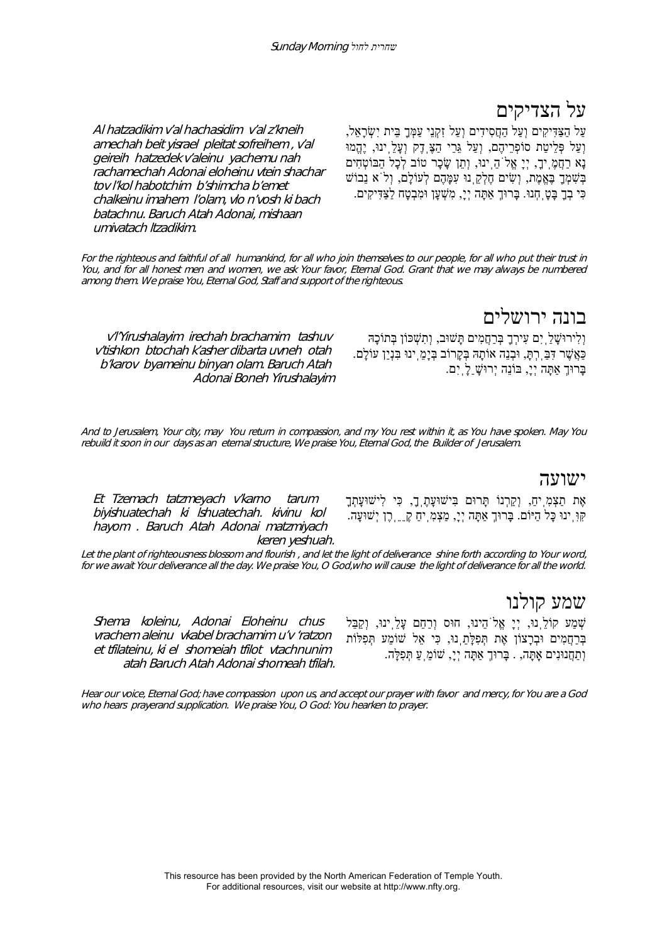# על הצדיקים

עַל הַצַּדִּיקִים וְעַל הַחֲסִידִים וְעַל זִקְנֵי עַמְּךָ בֵּית יִשְׂ רָאֵל, וְעַל פְּלֵיטַת סוֹפְרֵיהֶם, וְעַל גֵּרֵי הַצֶּֽדֶק וְעָלֵֽינוּ, יֶהֱמוּ נָא רַחֲמֶֽיך,ָ יְיָ אֱלֹהֵֽינוּ, וְתֵן שָׂ כָר טוֹב לְכָל הַבּוֹטְחִים בְּשִׁ מְךָ בֶּאֱמֶת, וְשִׂ ים חֶלְקֵֽנוּ עִמָּהֶם לְעוֹלָם, וְלֹא נֵבוֹשׁ כִּי בְךָ בָּטָֽחְנוּ. בָּרוּךְ אַתָּה יְי,ָ מִשְׁ עָן וּמִבְטָח לַצַּדִּיקִים.

Al hatzadikim v'al hachasidim v'al z'kneih amechah beit yisrael pleitat sofreihem , v'al geireih hatzedek v'aleinu yachemu nah rachamechah Adonai eloheinu vtein shachar tov l'kol habotchim b'shimcha b'emet chalkeinu imahem l'olam, vlo n'vosh ki bach batachnu. Baruch Atah Adonai, mishaan umivatach ltzadikim.

For the righteous and faithful of all humankind, for all who join themselves to our people, for all who put their trust in You, and for all honest men and women, we ask Your favor, Eternal God. Grant that we may always be numbered among them. We praise You, Eternal God, Staff and support of the righteous.

# בונה ירושלים

<sup>v</sup>'l'Yirushalayim irechah brachamim tashuv v'tishkon btochah k'asher dibarta uvneh otah b'karov byameinu binyan olam. Baruch Atah Adonai Boneh Yirushalayim

וְלִירוּשָׁ לַֽיִם עִירְךָ בְּרַחֲמִים תָּשׁוּב, וְתִשְׁ כּוֹן בְּתוֹכָהּ כַּאֲשֶׁ ר דִּבַּֽרְתּ,ָ וּבְנֵה אוֹתָהּ בְּקָרוֹב בְּיָמֵֽינוּ בִּנְיַן עוֹלָם. בָּרוּךְ אַתָּה יְי,ָ בּוֹנֵה יְרוּשָׁ ַלָֽיִם.

And to Jerusalem, Your city, may You return in compassion, and my You rest within it, as You have spoken. May You rebuild it soon in our days as an eternal structure, We praise You, Eternal God, the Builder of Jerusalem.

#### ישועה

Et Tzemach tatzmeyach v'karno tarum biyishuatechah ki lshuatechah. kivinu kol hayom . Baruch Atah Adonai matzmiyach keren yeshuah. אֶת תַצְמִֽיח,ַ וְקַרְנוֹ תָּרוּם בִּישׁוּעָתֶֽך,ָ כִּי לִישׁוּעָתְךָ קִּוִּֽינוּ כָּל הַיּוֹם. בָּרוּךְ אַתָּה יְי,ָ מַצְמִֽיחַ קֵֵֶֽרֶן יְשׁוּעָה.

Let the plant of righteousness blossom and flourish , and let the light of deliverance shine forth according to Your word, for we await Your deliverance all the day. We praise You, O God,who will cause the light of deliverance for all the world.

שמע קולנו

Shema koleinu, Adonai Eloheinu chus vrachem aleinu vkabel brachamim u'v 'ratzon et tfilateinu, ki el shomeiah tfilot vtachnunim atah Baruch Atah Adonai shomeah tfilah. שְׁ מַע קוֹלֵֽנוּ, יְיָ אֱלֹהֵינוּ, חוּס וְרַחֵם עָלֵֽינוּ, וְקַבֵּל בְּרַחֲמִים וּבְרָצוֹן אֶת תְּפִלָּתֵֽנוּ, כִּי אֵל שׁוֹמֵע תְּפִלּוֹת וְתַחֲנוּנִים אָֽתָּה, . בָּרוּךְ אַתָּה יְי,ָ שׁוֹמֵֽעַ תְּפִלָּה.

Hear our voice, Eternal God; have compassion upon us, and accept our prayer with favor and mercy, for You are a God who hears prayerand supplication. We praise You, O God: You hearken to prayer.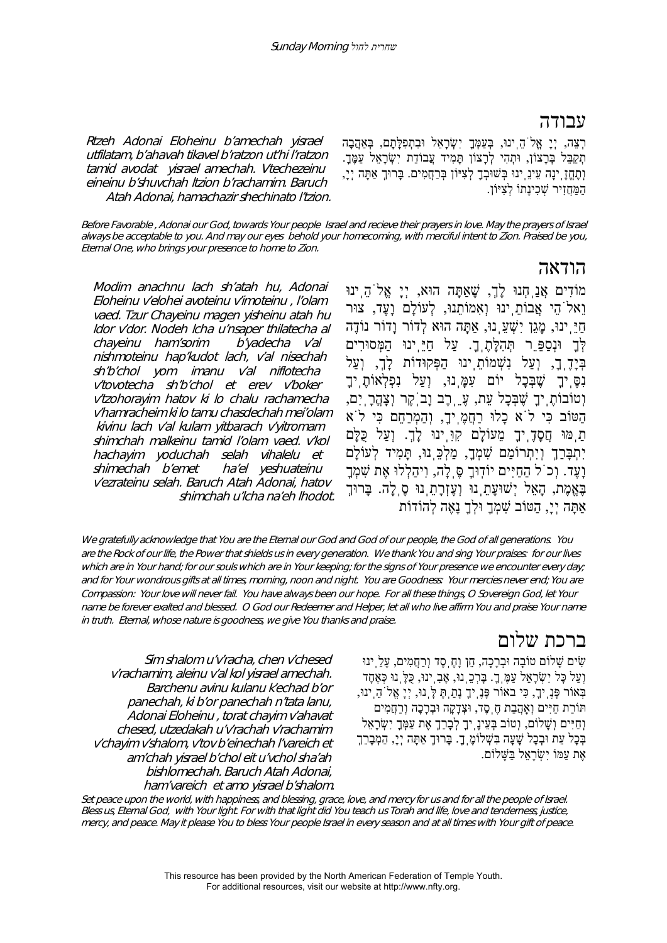## עבודה

ּרְצֵה, יְיָ אֱלֹהֵ יִנוּ, בְּעַמְּךָ יִשְׂרָאֵל וּבִתְפִלָּתָם, בְּאַהֲבָה תִקַבֵּל בְּרָצוֹן, וּתִהִי לְרָצוֹן תַּמִיד עֲבוֹדַת יִשְׂרָאֵל עַמֵּךָ. וְתֶחֱזֶֽינָה עֵינֵֽינוּ בְּשׁוּבְךָ לְצִיּוֹן בְּרַחֲמִים. בָּרוּךְ אַתָּה יְי,ָ הַמַּחֲזִיר שָׁכִינַתוֹ לְצִיּוֹן.

Rtzeh Adonai Eloheinu b'amechah yisrael utfilatam, b'ahavah tikavel b'ratzon ut'hi l'ratzon tamid avodat yisrael amechah. Vtechezeinu eineinu b'shuvchah ltzion b'rachamim. Baruch Atah Adonai, hamachazir shechinato l'tzion.

Modim anachnu lach sh'atah hu, Adonai Eloheinu v'elohei avoteinu v'imoteinu , l'olam vaed. Tzur Chayeinu magen yisheinu atah hu ldor v'dor. Nodeh lcha u'nsaper thilatecha al chayeinu ham'sorim b'yadecha v'al nishmoteinu hap'kudot lach, v'al nisechah sh'b'chol yom imanu v'al niflotecha v'tovotecha sh'b'chol et erev v'boker <sup>v</sup>'tzohorayim hatov ki lo chalu rachamecha v'hamracheim ki lo tamu chasdechah mei'olam kivinu lach v'al kulam yitbarach v'yitromam shimchah malkeinu tamid l'olam vaed. v'kol hachayim yoduchah selah vihalelu et shimechah b'emet ha'el yeshuateinu <sup>v</sup>'ezrateinu selah. Baruch Atah Adonai, hatov

Before Favorable , Adonai our God, towards Your people Israel and recieve their prayers in love. May the prayers of Israel always be acceptable to you. And may our eyes behold your homecoming, with merciful intent to Zion. Praised be you, Eternal One, who brings your presence to home to Zion.

# הודאה

מוֹדִים אֲנַֽחְנוּ לָך,ְ שָׁאַתָּה הוּא, יְיָ אֱלֹהֵֽינוּ וֵאלֹהֵי אֲבוֹתֵֽינוּ וְאִמוֹתֵנוּ, לְעוֹלָם וָעֶד, צוּר חַיֵּֽינוּ, מָגֵן יִשְׁ עֵֽנוּ, אַתָּה הוּא לְדוֹר וָדוֹר נוֹדֶה לְּךָ וּנְסַפֵֵּר תְּהִלָּתֶֽך.ָ עַל חַיֵּֽינוּ הַמְּסוּרִים בְּיָדֶֽך,ָ וְעַל נִשְׁ מוֹתֵֽינוּ הַפְּקוּדוֹת לָך,ְ וְעַל נִסֶּֽיךָ שֶׁ בְּכָל יוֹם עִמָּֽנוּ, וְעַל נִפְלְאוֹתֶֽיךָ וְטוֹבוֹתֶ יִךְ שֶׁבְּכָל עַת, עֲ רֶב וַב<sup>ְי</sup>קֶר וְצָהֲרָ יִם, הַטּוֹב כִּי לֹא כָלוּ רַחֲמֶֽיך,ָ וְהַמְרַחֵם כִּי לֹא תַֽמּוּ חֲסָדֶֽיךָ מֵעוֹלָם קִוִּֽינוּ לָך.ְ וְעַל כֻּלָּם יִתְבָּרַךְ וְיִתְרוֹמַם שִׁ מְך,ָ מַלְכֵּֽנוּ, תָּמִיד לְעוֹלָם וָעֶד. וְכֹל הַחַיִּים יוֹדֽוּךָ סֶּֽלָה, וִיהַלְלוּ אֶת שִׁ מְךָ בֶּאֱמֶת, הָאֵל יְשׁוּעָתֵֽנוּ וְעֶזְרָתֵֽנוּ סֶֽלָה. בָּרוּךְ אַתָּה יְי,ָ הַטּוֹב שִׁ מְךָ וּלְךָ נָאֶה לְהוֹדוֹת

shimchah u'lcha na'eh lhodot. We gratefully acknowledge that You are the Eternal our God and God of our people, the God of all generations. You are the Rock of our life, the Power that shields us in every generation. We thank You and sing Your praises: for our lives which are in Your hand; for our souls which are in Your keeping; for the signs of Your presence we encounter every day; and for Your wondrous gifts at all times, morning, noon and night. You are Goodness: Your mercies never end; You are Compassion: Your love will never fail. You have always been our hope. For all these things, O Sovereign God, let Your name be forever exalted and blessed. O God our Redeemer and Helper, let all who live affirm You and praise Your name

Sim shalom u'v'racha, chen v'chesed <sup>v</sup>'rachamim, aleinu v'al kol yisrael amechah. Barchenu avinu kulanu k'echad b'or panechah, ki b'or panechah n'tata lanu, Adonai Eloheinu , torat chayim v'ahavat chesed, utzedakah u'v'rachah v'rachamim <sup>v</sup>'chayim v'shalom, v'tov b'einechah l'vareich et am'chah yisrael b'chol eit u'vchol sha'ah bishlomechah. Baruch Atah Adonai, ham'vareich et amo yisrael b'shalom.

in truth. Eternal, whose nature is goodness, we give You thanks and praise.

# ברכת שלום

שִׂ ים שָׁ לוֹם טוֹבָה וּבְרָכָה, חֵן וָחֶֽסֶד וְרַחֲמִים, עָלֵֽינוּ וְעַל כָּל יִשְׂ רָאֵל עַמֶּֽך.ָ בָּרְכֵֽנוּ, אָבִֽינוּ, כֻּלָּֽנוּ כְּאֶחָד בְּאוֹר פָּנֶֽיך,ָ כִּי באוֹר פָּנֶֽיךָ נָתַֽתָּ לָּֽנוּ, יְיָ אֱלֹהֵֽינוּ, תּוֹרַת חַיִּים וְאַֽהֲבַת חֶֽסֶד, וּצְדָקָה וּבְרָכָה וְרַחֲמִים וְחַיִּים וְשָׁ לוֹם, וְטוֹב בְּעֵינֶֽיךָ לְבָרֵךְ אֶת עַמְּךָ יִשְׂ רָאֵל בְּכָל עֵת וּבְכָל שָׁעָה בִּשְׁלוֹמֶֽ ךָ. בָּרוּךְ אַתָּה יְיָ, הַמְבָרֵךְ אֶת עַמּוֹ יִשְׂ רָאֵל בַּשָּׁ לוֹם.

Set peace upon the world, with happiness, and blessing, grace, love, and mercy for us and for all the people of Israel. Bless us, Eternal God, with Your light. For with that light did You teach us Torah and life, love and tenderness, justice, mercy, and peace. May it please You to bless Your people Israel in every season and at all times with Your gift of peace.

> This resource has been provided by the North American Federation of Temple Youth. For additional resources, visit our website at http://www.nfty.org.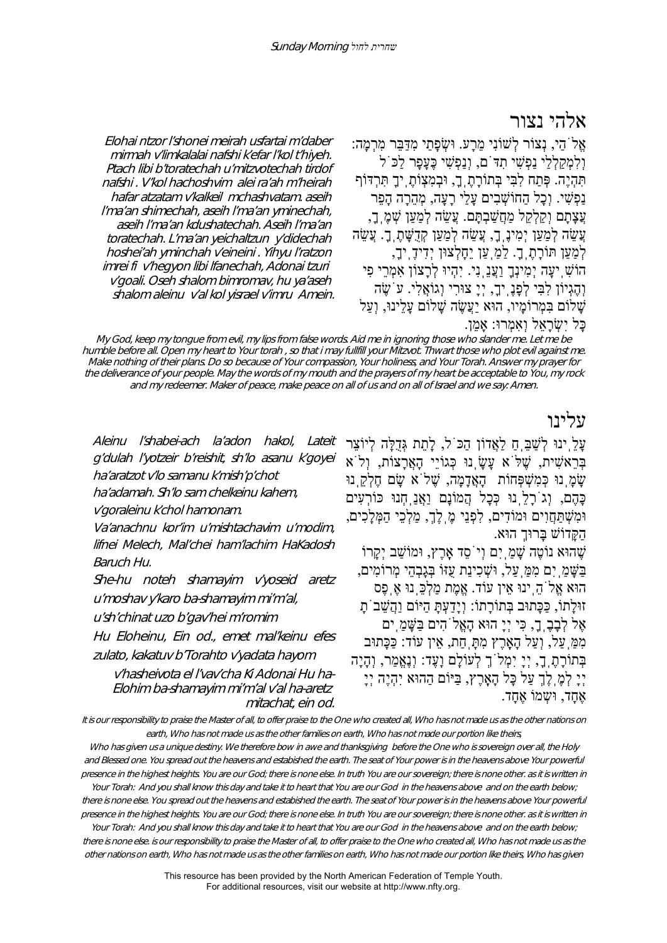# אלהי נצור

אֱלֹהַי, נְצוֹר לְשׁוֹנִי מֵרָע. וּשְׂ פָתַי מִדַּבֵּר מִרְמָה: וְלִמְקַלְלַי נַפְשִׁ י תִדֹּם, וְנַפְשִׁ י כֶּעָפָר לַכֹּל תִּהְיֶה. פְּתַח לִבִּי בְּתוֹרָתֶֽך,ָ וּבְמִצְוֹתֶֽיךָ תִּרְדּוֹף נַפְשִׁ י. וְכָל הַחוֹשְׁ בִים עָלַי רָעָה, מְהֵרָה הָפֵר עֲצָתָם וְקַלְקֵל מַחֲשַׁבְתֵּם. עֲשֵׂה לְמַעַן שָׁמֶ ךָ, עֲשֶׂה לְמַעַן יִמְיּנֵ ךָ, עֲשֶׂה לְמַעַן קְדָשֶׁתָ ךָ. עֲשֶׂה לְמַעַן תּוֹרָתֶֽך.ָ לַמַֽעַן יֵחָלְצוּן יְדִידֶֽיך,ָ הוֹשִׁ ֽיעָה יְמִינְךָ וַעֲנֵֽנִי. יִהְיוּ לְרָצוֹן אִמְרֵי פִי וְהֶגְיוֹן לִבִּי לְפָנֶֽיך,ָ יְיָ צוּרִי וְגוֹאֲלִי. עֹשֶׂ ה שָׁ לוֹם בִּמְרוֹמָיו, הוּא יַעֲשֶׂה שָׁ לוֹם עָלֵינוּ, וְעַל

Elohai ntzor l'shonei meirah usfartai m'daber mirmah v'limkalalai nafshi k'efar l'kol t'hiyeh. Ptach libi b'toratechah u'mitzvotechah tirdof nafshi . V'kol hachoshvim alei ra'ah m'heirah hafar atzatam v'kalkeil mchashvatam. aseih l'ma'an shimechah, aseih l'ma'an yminechah, aseih l'ma'an kdushatechah. Aseih l'ma'an toratechah. L'ma'an yeichaltzun y'didechah hoshei'ah yminchah v'eineini . Yihyu l'ratzon imrei fi v'hegyon libi lfanechah, Adonai tzuri <sup>v</sup>'goali. Oseh shalom bimromav, hu ya'aseh shalom aleinu v'al kol yisrael v'imru Amein.

#### כַּל יִשְׂרָאֵל וְאָמְרוּ: אָמֶן.

My God, keep my tongue from evil, my lips from false words. Aid me in ignoring those who slander me. Let me be humble before all. Open my heart to Your torah , so that i may fullfill your Mitzvot. Thwart those who plot evil against me. Make nothing of their plans. Do so because of Your compassion, Your holiness, and Your Torah. Answer my prayer for the deliverance of your people. May the words of my mouth and the prayers of my heart be acceptable to You, my rock and my redeemer. Maker of peace, make peace on all of us and on all of Israel and we say: Amen.

# עלינו

עַלְ ינוּ לְשַׁבָּ חַ לַאֲדוֹן הַכּ<sup>ְ</sup>ל, לָתֵת גְּדָלָּה לְיוֹצֵר Lateit בְּרֵאשִׁ ית, שֶׁ לֹּא עָשָׂ ֽנוּ כְּגוֹיֵי הָאֲרָצוֹת, וְלֹא שָׂמַ נוּ כְּמִשְׁפְּחוֹת הָאֲדָמָה, שֱלֹא שֵׂם חֶלְקָ נוּ כָּהֶם, וְגֹרָלֵֽנוּ כְּכָל הֲמוֹנָם וַאֲנַֽחְנוּ כּוֹרְעִים וּמִשְׁ תַּחֲוִים וּמוֹדִים, לִפְנֵי מֶֽלֶך,ְ מַלְכֵי הַמְּלָכִים, הַקָּדוֹשׁ בָּרוּךְ הוּא. שֶׁ הוּא נוֹטֶה שָׁ מַֽיִם וְיֹסֵד אָֽרֶץ, וּמוֹשַׁ ב יְקָרוֹ בַּשָּׁ מַֽיִם מִמַּֽעַל, וּשְׁ כִינַת עֻזּוֹ בְּגָבְהֵי מְרוֹמִים, הוּא אֱלֹהֵֽינוּ אֵין עוֹד. אֱמֶת מַלְכֵּֽנוּ אֶֽפֶס זוּלָתוֹ, כַּכָּתוּב בְּתוֹרָתוֹ: וְיָדַעְתָּ הַיּוֹם וַהֲשֵׁ בֹתָ אֶל לְבָבֶֽך,ָ כִּי יְיָ הוּא הָאֱלֹהִים בַּשָּׁ מַֽים מִמַּֽעַל, וְעַל הָאָֽרֶץ מִתָּֽחַת, אֵין עוֹד: כַּכָּתוּב בְּתוֹרָתֶֽך,ָ יְיָ יִמְלֹךְ לְעוֹלָם וָעֶד: וְנֶאֱמַר, וְהָיָה יְיָ לְמֶֽלֶךְ עַל כָּל הָאָֽרֶץ, בַּיּוֹם הַהוּא יִהְיֶה יְיָ

אֶחַד, וּשָמוֹ אֶחַד.

It is our responsibility to praise the Master of all, to offer praise to the One who created all, Who has not made us as the other nations on earth, Who has not made us as the other families on earth, Who has not made our portion like theirs

Who has given us a unique destiny. We therefore bow in awe and thanksgiving before the One who is sovereign over all, the Holy and Blessed one. You spread out the heavens and estabished the earth. The seat of Your power is in the heavens above Your powerful presence in the highest heights. You are our God; there is none else. In truth You are our sovereign; there is none other. as it is written in

Your Torah: And you shall know this day and take it to heart that You are our God in the heavens above and on the earth below; there is none else. You spread out the heavens and estabished the earth. The seat of Your power is in the heavens above Your powerful presence in the highest heights. You are our God; there is none else. In truth You are our sovereign; there is none other. as it is written in

Your Torah: And you shall know this day and take it to heart that You are our God in the heavens above and on the earth below; there is none else. is our responsibility to praise the Master of all, to offer praise to the One who created all, Who has not made us as the other nations on earth, Who has not made us as the other families on earth, Who has not made our portion like theirs, Who has given

> This resource has been provided by the North American Federation of Temple Youth. For additional resources, visit our website at http://www.nfty.org.

Aleinu l'shabei-ach la'adon hakol, g'dulah l'yotzeir b'reishit, sh'lo asanu k'goyei ha'aratzot v'lo samanu k'mish'p'chot

ha'adamah. Sh'lo sam chelkeinu kahem,

<sup>v</sup>'goraleinu k'chol hamonam.

Va'anachnu kor'im u'mishtachavim u'modim, lifnei Melech, Mal'chei ham'lachim HaKadosh Baruch Hu.

She-hu noteh shamayim v'yoseid aretz <sup>u</sup>'moshav y'karo ba-shamayim mi'm'al,

<sup>u</sup>'sh'chinat uzo b'gav'hei m'romim

Hu Eloheinu, Ein od., emet mal'keinu efes zulato, kakatuv b'Torahto v'yadata hayom

v'hasheivota el l'vav'cha Ki Adonai Hu ha-Elohim ba-shamayim mi'm'al v'al ha-aretz mitachat, ein od.